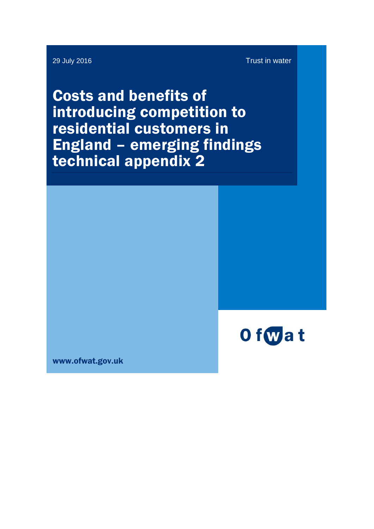Costs and benefits of introducing competition to residential customers in England – emerging findings technical appendix 2



www.ofwat.gov.uk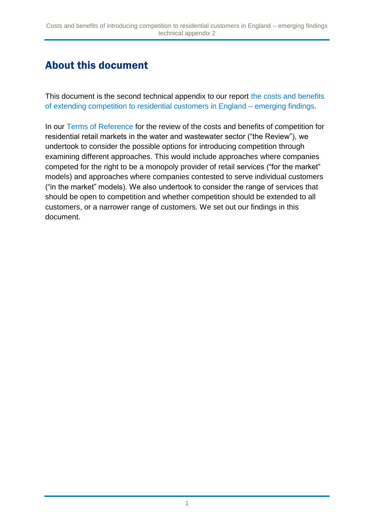# About this document

This document is the second technical appendix to our report [the costs and benefits](http://www.ofwat.gov.uk/publication/costs-benefits-introducing-competition-residential-customers-england-summary-emerging-findings/)  [of extending competition to residential customers in England –](http://www.ofwat.gov.uk/publication/costs-benefits-introducing-competition-residential-customers-england-summary-emerging-findings/) emerging findings.

In our [Terms of Reference](http://www.ofwat.gov.uk/publication/review-retail-household-markets-water-wastewater-sector-terms-reference/) for the review of the costs and benefits of competition for residential retail markets in the water and wastewater sector ("the Review"), we undertook to consider the possible options for introducing competition through examining different approaches. This would include approaches where companies competed for the right to be a monopoly provider of retail services ("for the market" models) and approaches where companies contested to serve individual customers ("in the market" models). We also undertook to consider the range of services that should be open to competition and whether competition should be extended to all customers, or a narrower range of customers. We set out our findings in this document.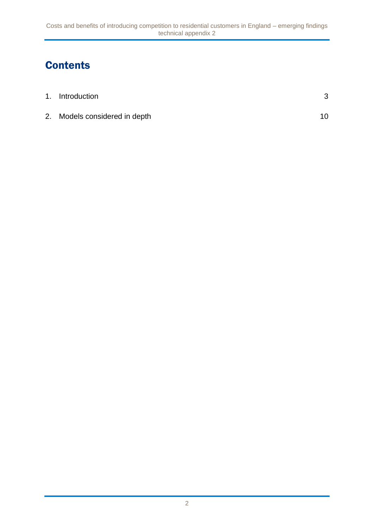# **Contents**

| 1. Introduction               | 3  |
|-------------------------------|----|
| 2. Models considered in depth | 10 |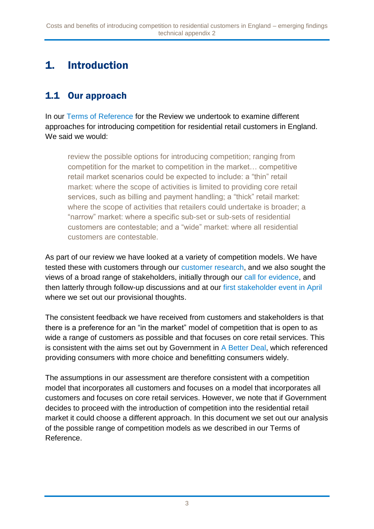# 1. Introduction

## 1.1 Our approach

In our [Terms of Reference](http://www.ofwat.gov.uk/publication/review-retail-household-markets-water-wastewater-sector-terms-reference/) for the Review we undertook to examine different approaches for introducing competition for residential retail customers in England. We said we would:

review the possible options for introducing competition; ranging from competition for the market to competition in the market… competitive retail market scenarios could be expected to include: a "thin" retail market: where the scope of activities is limited to providing core retail services, such as billing and payment handling; a "thick" retail market: where the scope of activities that retailers could undertake is broader; a "narrow" market: where a specific sub-set or sub-sets of residential customers are contestable; and a "wide" market: where all residential customers are contestable.

As part of our review we have looked at a variety of competition models. We have tested these with customers through our [customer research,](http://www.ofwat.gov.uk/publication/customer-response-competition-residential-water-market-report-accent/) and we also sought the views of a broad range of stakeholders, initially through our [call for evidence,](http://www.ofwat.gov.uk/consultation/review-of-retail-household-markets-in-the-water-and-wastewater-sector-call-for-evidence/) and then latterly through follow-up discussions and at our [first stakeholder event in April](http://www.ofwat.gov.uk/wp-content/uploads/2016/06/Residential-retail-review-external-event-summary.pdf) where we set out our provisional thoughts.

The consistent feedback we have received from customers and stakeholders is that there is a preference for an "in the market" model of competition that is open to as wide a range of customers as possible and that focuses on core retail services. This is consistent with the aims set out by Government in [A Better Deal,](https://www.gov.uk/government/uploads/system/uploads/attachment_data/file/480798/a_better_deal_for_families_and_firms_web.pdf) which referenced providing consumers with more choice and benefitting consumers widely.

The assumptions in our assessment are therefore consistent with a competition model that incorporates all customers and focuses on a model that incorporates all customers and focuses on core retail services. However, we note that if Government decides to proceed with the introduction of competition into the residential retail market it could choose a different approach. In this document we set out our analysis of the possible range of competition models as we described in our Terms of Reference.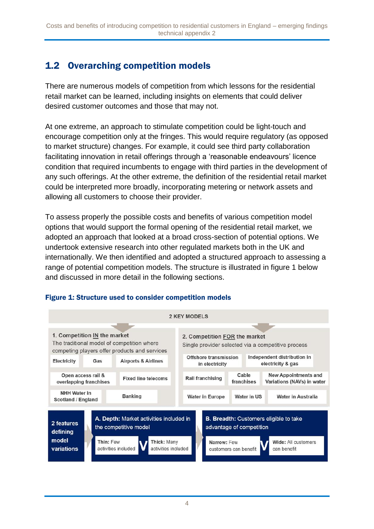## 1.2 Overarching competition models

There are numerous models of competition from which lessons for the residential retail market can be learned, including insights on elements that could deliver desired customer outcomes and those that may not.

At one extreme, an approach to stimulate competition could be light-touch and encourage competition only at the fringes. This would require regulatory (as opposed to market structure) changes. For example, it could see third party collaboration facilitating innovation in retail offerings through a 'reasonable endeavours' licence condition that required incumbents to engage with third parties in the development of any such offerings. At the other extreme, the definition of the residential retail market could be interpreted more broadly, incorporating metering or network assets and allowing all customers to choose their provider.

To assess properly the possible costs and benefits of various competition model options that would support the formal opening of the residential retail market, we adopted an approach that looked at a broad cross-section of potential options. We undertook extensive research into other regulated markets both in the UK and internationally. We then identified and adopted a structured approach to assessing a range of potential competition models. The structure is illustrated in figure 1 below and discussed in more detail in the following sections.



#### Figure 1: Structure used to consider competition models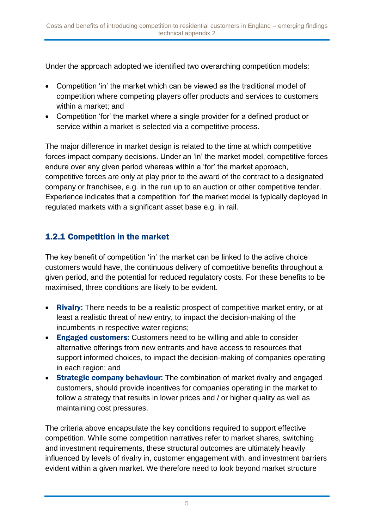Under the approach adopted we identified two overarching competition models:

- Competition 'in' the market which can be viewed as the traditional model of competition where competing players offer products and services to customers within a market; and
- Competition 'for' the market where a single provider for a defined product or service within a market is selected via a competitive process.

The major difference in market design is related to the time at which competitive forces impact company decisions. Under an 'in' the market model, competitive forces endure over any given period whereas within a 'for' the market approach, competitive forces are only at play prior to the award of the contract to a designated company or franchisee, e.g. in the run up to an auction or other competitive tender. Experience indicates that a competition 'for' the market model is typically deployed in regulated markets with a significant asset base e.g. in rail.

#### 1.2.1 Competition in the market

The key benefit of competition 'in' the market can be linked to the active choice customers would have, the continuous delivery of competitive benefits throughout a given period, and the potential for reduced regulatory costs. For these benefits to be maximised, three conditions are likely to be evident.

- Rivalry: There needs to be a realistic prospect of competitive market entry, or at least a realistic threat of new entry, to impact the decision-making of the incumbents in respective water regions;
- Engaged customers: Customers need to be willing and able to consider alternative offerings from new entrants and have access to resources that support informed choices, to impact the decision-making of companies operating in each region; and
- Strategic company behaviour: The combination of market rivalry and engaged customers, should provide incentives for companies operating in the market to follow a strategy that results in lower prices and / or higher quality as well as maintaining cost pressures.

The criteria above encapsulate the key conditions required to support effective competition. While some competition narratives refer to market shares, switching and investment requirements, these structural outcomes are ultimately heavily influenced by levels of rivalry in, customer engagement with, and investment barriers evident within a given market. We therefore need to look beyond market structure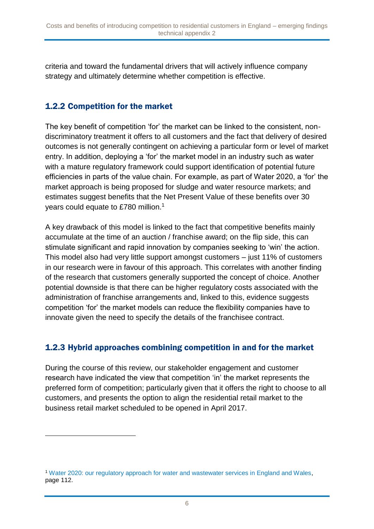criteria and toward the fundamental drivers that will actively influence company strategy and ultimately determine whether competition is effective.

#### 1.2.2 Competition for the market

1

The key benefit of competition 'for' the market can be linked to the consistent, nondiscriminatory treatment it offers to all customers and the fact that delivery of desired outcomes is not generally contingent on achieving a particular form or level of market entry. In addition, deploying a 'for' the market model in an industry such as water with a mature regulatory framework could support identification of potential future efficiencies in parts of the value chain. For example, as part of Water 2020, a 'for' the market approach is being proposed for sludge and water resource markets; and estimates suggest benefits that the Net Present Value of these benefits over 30 years could equate to £780 million.<sup>1</sup>

A key drawback of this model is linked to the fact that competitive benefits mainly accumulate at the time of an auction / franchise award; on the flip side, this can stimulate significant and rapid innovation by companies seeking to 'win' the action. This model also had very little support amongst customers – just 11% of customers in our research were in favour of this approach. This correlates with another finding of the research that customers generally supported the concept of choice. Another potential downside is that there can be higher regulatory costs associated with the administration of franchise arrangements and, linked to this, evidence suggests competition 'for' the market models can reduce the flexibility companies have to innovate given the need to specify the details of the franchisee contract.

#### 1.2.3 Hybrid approaches combining competition in and for the market

During the course of this review, our stakeholder engagement and customer research have indicated the view that competition 'in' the market represents the preferred form of competition; particularly given that it offers the right to choose to all customers, and presents the option to align the residential retail market to the business retail market scheduled to be opened in April 2017.

<sup>1</sup> [Water 2020: our regulatory approach for water and wastewater services in England and Wales,](http://www.ofwat.gov.uk/wp-content/uploads/2015/12/pap_pos20150520w2020.pdf) page 112.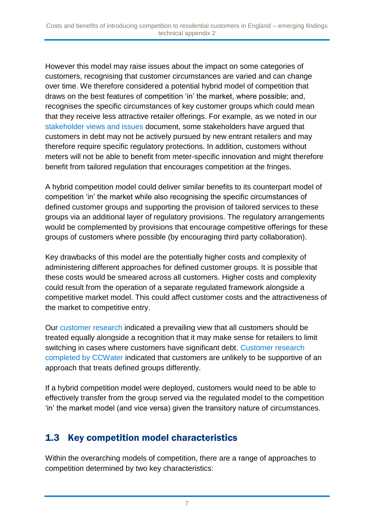However this model may raise issues about the impact on some categories of customers, recognising that customer circumstances are varied and can change over time. We therefore considered a potential hybrid model of competition that draws on the best features of competition 'in' the market, where possible; and, recognises the specific circumstances of key customer groups which could mean that they receive less attractive retailer offerings. For example, as we noted in our [stakeholder views and issues](http://www.ofwat.gov.uk/publication/costs-benefits-introducing-competition-residential-customers-england-report-stakeholder-views-issues/) document, some stakeholders have argued that customers in debt may not be actively pursued by new entrant retailers and may therefore require specific regulatory protections. In addition, customers without meters will not be able to benefit from meter-specific innovation and might therefore benefit from tailored regulation that encourages competition at the fringes.

A hybrid competition model could deliver similar benefits to its counterpart model of competition 'in' the market while also recognising the specific circumstances of defined customer groups and supporting the provision of tailored services to these groups via an additional layer of regulatory provisions. The regulatory arrangements would be complemented by provisions that encourage competitive offerings for these groups of customers where possible (by encouraging third party collaboration).

Key drawbacks of this model are the potentially higher costs and complexity of administering different approaches for defined customer groups. It is possible that these costs would be smeared across all customers. Higher costs and complexity could result from the operation of a separate regulated framework alongside a competitive market model. This could affect customer costs and the attractiveness of the market to competitive entry.

Our [customer research](http://www.ofwat.gov.uk/publication/customer-response-competition-residential-water-market-report-accent/) indicated a prevailing view that all customers should be treated equally alongside a recognition that it may make sense for retailers to limit switching in cases where customers have significant debt. [Customer research](http://www.ccwater.org.uk/wp-content/uploads/2016/05/CCWater-Household-Competition-Report-FINAL-20160517.pdf)  [completed by CCWater](http://www.ccwater.org.uk/wp-content/uploads/2016/05/CCWater-Household-Competition-Report-FINAL-20160517.pdf) indicated that customers are unlikely to be supportive of an approach that treats defined groups differently.

If a hybrid competition model were deployed, customers would need to be able to effectively transfer from the group served via the regulated model to the competition 'in' the market model (and vice versa) given the transitory nature of circumstances.

### 1.3 Key competition model characteristics

Within the overarching models of competition, there are a range of approaches to competition determined by two key characteristics:

7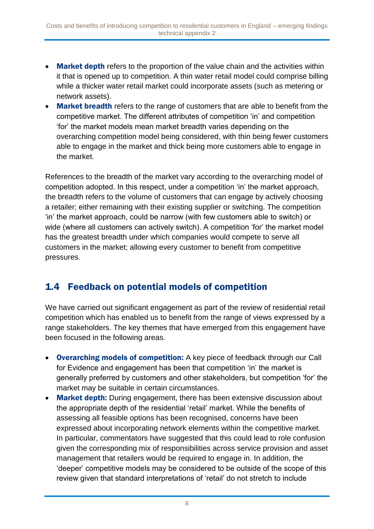- Market depth refers to the proportion of the value chain and the activities within it that is opened up to competition. A thin water retail model could comprise billing while a thicker water retail market could incorporate assets (such as metering or network assets).
- Market breadth refers to the range of customers that are able to benefit from the competitive market. The different attributes of competition 'in' and competition 'for' the market models mean market breadth varies depending on the overarching competition model being considered, with thin being fewer customers able to engage in the market and thick being more customers able to engage in the market.

References to the breadth of the market vary according to the overarching model of competition adopted. In this respect, under a competition 'in' the market approach, the breadth refers to the volume of customers that can engage by actively choosing a retailer; either remaining with their existing supplier or switching. The competition 'in' the market approach, could be narrow (with few customers able to switch) or wide (where all customers can actively switch). A competition 'for' the market model has the greatest breadth under which companies would compete to serve all customers in the market; allowing every customer to benefit from competitive pressures.

### 1.4 Feedback on potential models of competition

We have carried out significant engagement as part of the review of residential retail competition which has enabled us to benefit from the range of views expressed by a range stakeholders. The key themes that have emerged from this engagement have been focused in the following areas.

- Overarching models of competition: A key piece of feedback through our Call for Evidence and engagement has been that competition 'in' the market is generally preferred by customers and other stakeholders, but competition 'for' the market may be suitable in certain circumstances.
- Market depth: During engagement, there has been extensive discussion about the appropriate depth of the residential 'retail' market. While the benefits of assessing all feasible options has been recognised, concerns have been expressed about incorporating network elements within the competitive market. In particular, commentators have suggested that this could lead to role confusion given the corresponding mix of responsibilities across service provision and asset management that retailers would be required to engage in. In addition, the 'deeper' competitive models may be considered to be outside of the scope of this review given that standard interpretations of 'retail' do not stretch to include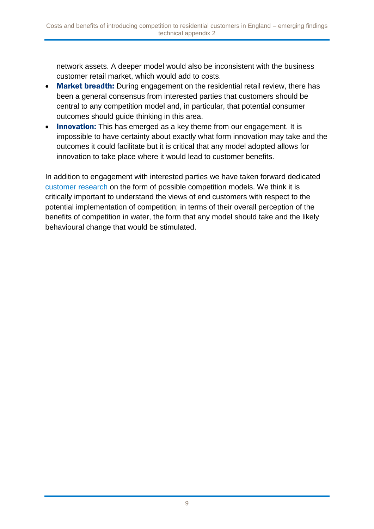network assets. A deeper model would also be inconsistent with the business customer retail market, which would add to costs.

- Market breadth: During engagement on the residential retail review, there has been a general consensus from interested parties that customers should be central to any competition model and, in particular, that potential consumer outcomes should guide thinking in this area.
- Innovation: This has emerged as a key theme from our engagement. It is impossible to have certainty about exactly what form innovation may take and the outcomes it could facilitate but it is critical that any model adopted allows for innovation to take place where it would lead to customer benefits.

In addition to engagement with interested parties we have taken forward dedicated [customer research](http://www.ofwat.gov.uk/publication/customer-response-competition-residential-water-market-report-accent/) on the form of possible competition models. We think it is critically important to understand the views of end customers with respect to the potential implementation of competition; in terms of their overall perception of the benefits of competition in water, the form that any model should take and the likely behavioural change that would be stimulated.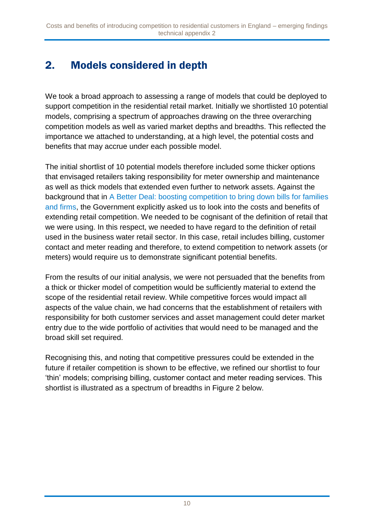# 2. Models considered in depth

We took a broad approach to assessing a range of models that could be deployed to support competition in the residential retail market. Initially we shortlisted 10 potential models, comprising a spectrum of approaches drawing on the three overarching competition models as well as varied market depths and breadths. This reflected the importance we attached to understanding, at a high level, the potential costs and benefits that may accrue under each possible model.

The initial shortlist of 10 potential models therefore included some thicker options that envisaged retailers taking responsibility for meter ownership and maintenance as well as thick models that extended even further to network assets. Against the background that in [A Better Deal: boosting competition to bring down bills for families](https://www.gov.uk/government/publications/a-better-deal-boosting-competition-to-bring-down-bills-for-families-and-firms)  [and firms,](https://www.gov.uk/government/publications/a-better-deal-boosting-competition-to-bring-down-bills-for-families-and-firms) the Government explicitly asked us to look into the costs and benefits of extending retail competition. We needed to be cognisant of the definition of retail that we were using. In this respect, we needed to have regard to the definition of retail used in the business water retail sector. In this case, retail includes billing, customer contact and meter reading and therefore, to extend competition to network assets (or meters) would require us to demonstrate significant potential benefits.

From the results of our initial analysis, we were not persuaded that the benefits from a thick or thicker model of competition would be sufficiently material to extend the scope of the residential retail review. While competitive forces would impact all aspects of the value chain, we had concerns that the establishment of retailers with responsibility for both customer services and asset management could deter market entry due to the wide portfolio of activities that would need to be managed and the broad skill set required.

Recognising this, and noting that competitive pressures could be extended in the future if retailer competition is shown to be effective, we refined our shortlist to four 'thin' models; comprising billing, customer contact and meter reading services. This shortlist is illustrated as a spectrum of breadths in Figure 2 below.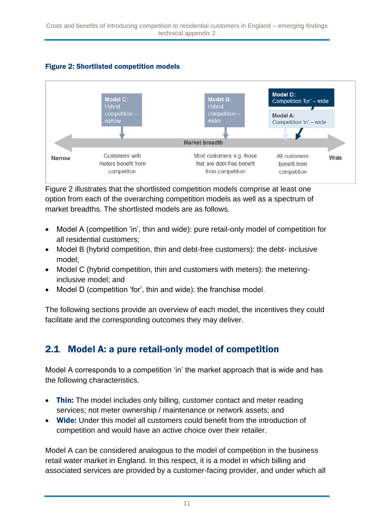#### Figure 2: Shortlisted competition models



Figure 2 illustrates that the shortlisted competition models comprise at least one option from each of the overarching competition models as well as a spectrum of market breadths. The shortlisted models are as follows.

- Model A (competition 'in', thin and wide): pure retail-only model of competition for all residential customers;
- Model B (hybrid competition, thin and debt-free customers): the debt- inclusive model;
- Model C (hybrid competition, thin and customers with meters): the meteringinclusive model; and
- Model D (competition 'for', thin and wide): the franchise model.

The following sections provide an overview of each model, the incentives they could facilitate and the corresponding outcomes they may deliver.

## 2.1 Model A: a pure retail-only model of competition

Model A corresponds to a competition 'in' the market approach that is wide and has the following characteristics.

- Thin: The model includes only billing, customer contact and meter reading services; not meter ownership / maintenance or network assets; and
- Wide: Under this model all customers could benefit from the introduction of competition and would have an active choice over their retailer.

Model A can be considered analogous to the model of competition in the business retail water market in England. In this respect, it is a model in which billing and associated services are provided by a customer-facing provider, and under which all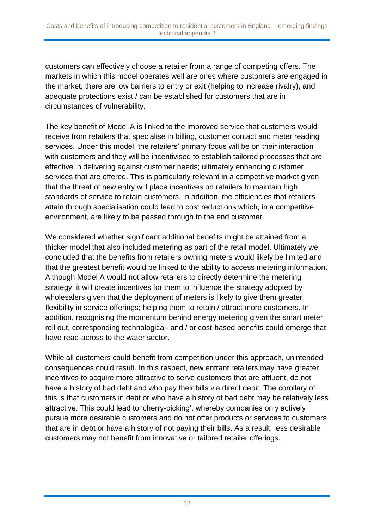customers can effectively choose a retailer from a range of competing offers. The markets in which this model operates well are ones where customers are engaged in the market, there are low barriers to entry or exit (helping to increase rivalry), and adequate protections exist / can be established for customers that are in circumstances of vulnerability.

The key benefit of Model A is linked to the improved service that customers would receive from retailers that specialise in billing, customer contact and meter reading services. Under this model, the retailers' primary focus will be on their interaction with customers and they will be incentivised to establish tailored processes that are effective in delivering against customer needs; ultimately enhancing customer services that are offered. This is particularly relevant in a competitive market given that the threat of new entry will place incentives on retailers to maintain high standards of service to retain customers. In addition, the efficiencies that retailers attain through specialisation could lead to cost reductions which, in a competitive environment, are likely to be passed through to the end customer.

We considered whether significant additional benefits might be attained from a thicker model that also included metering as part of the retail model. Ultimately we concluded that the benefits from retailers owning meters would likely be limited and that the greatest benefit would be linked to the ability to access metering information. Although Model A would not allow retailers to directly determine the metering strategy, it will create incentives for them to influence the strategy adopted by wholesalers given that the deployment of meters is likely to give them greater flexibility in service offerings; helping them to retain / attract more customers. In addition, recognising the momentum behind energy metering given the smart meter roll out, corresponding technological- and / or cost-based benefits could emerge that have read-across to the water sector.

While all customers could benefit from competition under this approach, unintended consequences could result. In this respect, new entrant retailers may have greater incentives to acquire more attractive to serve customers that are affluent, do not have a history of bad debt and who pay their bills via direct debit. The corollary of this is that customers in debt or who have a history of bad debt may be relatively less attractive. This could lead to 'cherry-picking', whereby companies only actively pursue more desirable customers and do not offer products or services to customers that are in debt or have a history of not paying their bills. As a result, less desirable customers may not benefit from innovative or tailored retailer offerings.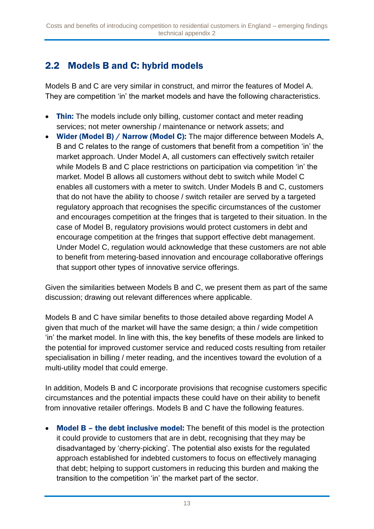## 2.2 Models B and C: hybrid models

Models B and C are very similar in construct, and mirror the features of Model A. They are competition 'in' the market models and have the following characteristics.

- Thin: The models include only billing, customer contact and meter reading services; not meter ownership / maintenance or network assets; and
- Wider (Model B) / Narrow (Model C): The major difference between Models A, B and C relates to the range of customers that benefit from a competition 'in' the market approach. Under Model A, all customers can effectively switch retailer while Models B and C place restrictions on participation via competition 'in' the market. Model B allows all customers without debt to switch while Model C enables all customers with a meter to switch. Under Models B and C, customers that do not have the ability to choose / switch retailer are served by a targeted regulatory approach that recognises the specific circumstances of the customer and encourages competition at the fringes that is targeted to their situation. In the case of Model B, regulatory provisions would protect customers in debt and encourage competition at the fringes that support effective debt management. Under Model C, regulation would acknowledge that these customers are not able to benefit from metering-based innovation and encourage collaborative offerings that support other types of innovative service offerings.

Given the similarities between Models B and C, we present them as part of the same discussion; drawing out relevant differences where applicable.

Models B and C have similar benefits to those detailed above regarding Model A given that much of the market will have the same design; a thin / wide competition 'in' the market model. In line with this, the key benefits of these models are linked to the potential for improved customer service and reduced costs resulting from retailer specialisation in billing / meter reading, and the incentives toward the evolution of a multi-utility model that could emerge.

In addition, Models B and C incorporate provisions that recognise customers specific circumstances and the potential impacts these could have on their ability to benefit from innovative retailer offerings. Models B and C have the following features.

• Model **B** – the debt inclusive model: The benefit of this model is the protection it could provide to customers that are in debt, recognising that they may be disadvantaged by 'cherry-picking'. The potential also exists for the regulated approach established for indebted customers to focus on effectively managing that debt; helping to support customers in reducing this burden and making the transition to the competition 'in' the market part of the sector.